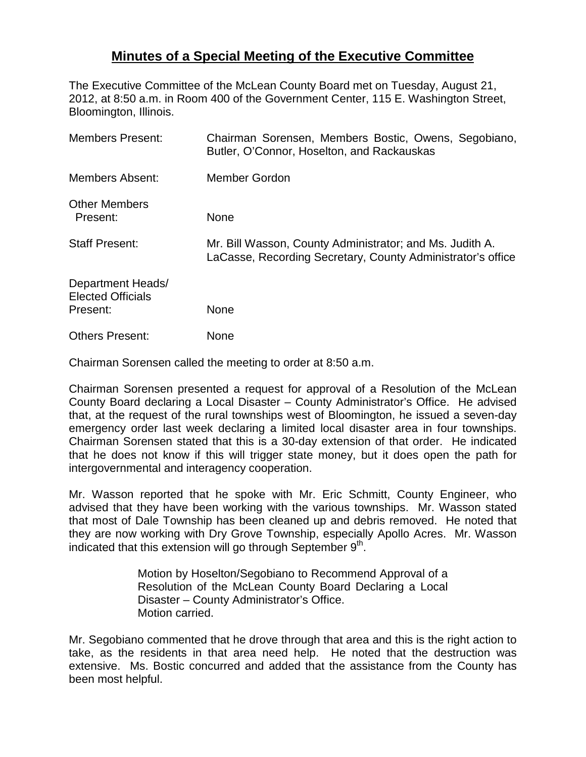## **Minutes of a Special Meeting of the Executive Committee**

The Executive Committee of the McLean County Board met on Tuesday, August 21, 2012, at 8:50 a.m. in Room 400 of the Government Center, 115 E. Washington Street, Bloomington, Illinois.

| <b>Members Present:</b>                                   | Chairman Sorensen, Members Bostic, Owens, Segobiano,<br>Butler, O'Connor, Hoselton, and Rackauskas                      |
|-----------------------------------------------------------|-------------------------------------------------------------------------------------------------------------------------|
| <b>Members Absent:</b>                                    | <b>Member Gordon</b>                                                                                                    |
| <b>Other Members</b><br>Present:                          | <b>None</b>                                                                                                             |
| <b>Staff Present:</b>                                     | Mr. Bill Wasson, County Administrator; and Ms. Judith A.<br>LaCasse, Recording Secretary, County Administrator's office |
| Department Heads/<br><b>Elected Officials</b><br>Present: | <b>None</b>                                                                                                             |
| <b>Others Present:</b>                                    | <b>None</b>                                                                                                             |

Chairman Sorensen called the meeting to order at 8:50 a.m.

Chairman Sorensen presented a request for approval of a Resolution of the McLean County Board declaring a Local Disaster – County Administrator's Office. He advised that, at the request of the rural townships west of Bloomington, he issued a seven-day emergency order last week declaring a limited local disaster area in four townships. Chairman Sorensen stated that this is a 30-day extension of that order. He indicated that he does not know if this will trigger state money, but it does open the path for intergovernmental and interagency cooperation.

Mr. Wasson reported that he spoke with Mr. Eric Schmitt, County Engineer, who advised that they have been working with the various townships. Mr. Wasson stated that most of Dale Township has been cleaned up and debris removed. He noted that they are now working with Dry Grove Township, especially Apollo Acres. Mr. Wasson indicated that this extension will go through September  $9<sup>th</sup>$ .

> Motion by Hoselton/Segobiano to Recommend Approval of a Resolution of the McLean County Board Declaring a Local Disaster – County Administrator's Office. Motion carried.

Mr. Segobiano commented that he drove through that area and this is the right action to take, as the residents in that area need help. He noted that the destruction was extensive. Ms. Bostic concurred and added that the assistance from the County has been most helpful.